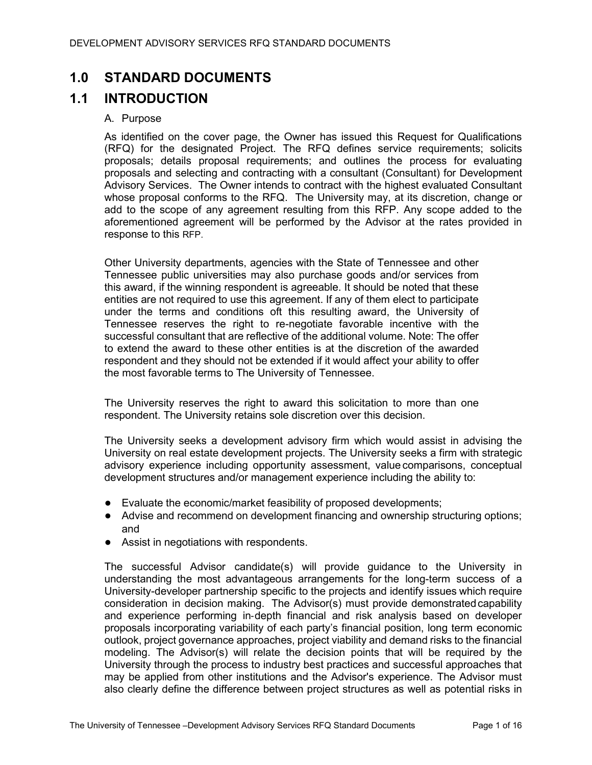# **1.0 STANDARD DOCUMENTS**

# **1.1 INTRODUCTION**

### A. Purpose

As identified on the cover page, the Owner has issued this Request for Qualifications (RFQ) for the designated Project. The RFQ defines service requirements; solicits proposals; details proposal requirements; and outlines the process for evaluating proposals and selecting and contracting with a consultant (Consultant) for Development Advisory Services. The Owner intends to contract with the highest evaluated Consultant whose proposal conforms to the RFQ. The University may, at its discretion, change or add to the scope of any agreement resulting from this RFP. Any scope added to the aforementioned agreement will be performed by the Advisor at the rates provided in response to this RFP.

Other University departments, agencies with the State of Tennessee and other Tennessee public universities may also purchase goods and/or services from this award, if the winning respondent is agreeable. It should be noted that these entities are not required to use this agreement. If any of them elect to participate under the terms and conditions oft this resulting award, the University of Tennessee reserves the right to re-negotiate favorable incentive with the successful consultant that are reflective of the additional volume. Note: The offer to extend the award to these other entities is at the discretion of the awarded respondent and they should not be extended if it would affect your ability to offer the most favorable terms to The University of Tennessee.

The University reserves the right to award this solicitation to more than one respondent. The University retains sole discretion over this decision.

The University seeks a development advisory firm which would assist in advising the University on real estate development projects. The University seeks a firm with strategic advisory experience including opportunity assessment, value comparisons, conceptual development structures and/or management experience including the ability to:

- Evaluate the economic/market feasibility of proposed developments;
- Advise and recommend on development financing and ownership structuring options; and
- Assist in negotiations with respondents.

The successful Advisor candidate(s) will provide guidance to the University in understanding the most advantageous arrangements for the long-term success of a University-developer partnership specific to the projects and identify issues which require consideration in decision making. The Advisor(s) must provide demonstratedcapability and experience performing in‐depth financial and risk analysis based on developer proposals incorporating variability of each party's financial position, long term economic outlook, project governance approaches, project viability and demand risks to the financial modeling. The Advisor(s) will relate the decision points that will be required by the University through the process to industry best practices and successful approaches that may be applied from other institutions and the Advisor's experience. The Advisor must also clearly define the difference between project structures as well as potential risks in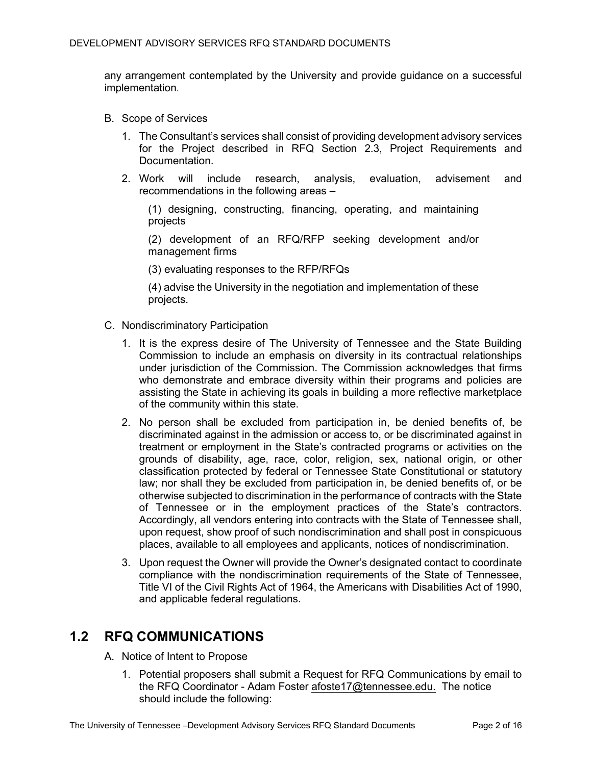any arrangement contemplated by the University and provide guidance on a successful implementation.

- B. Scope of Services
	- 1. The Consultant's services shall consist of providing development advisory services for the Project described in RFQ Section 2.3, Project Requirements and Documentation.
	- 2. Work will include research, analysis, evaluation, advisement and recommendations in the following areas –

(1) designing, constructing, financing, operating, and maintaining projects

(2) development of an RFQ/RFP seeking development and/or management firms

(3) evaluating responses to the RFP/RFQs

(4) advise the University in the negotiation and implementation of these projects.

- C. Nondiscriminatory Participation
	- 1. It is the express desire of The University of Tennessee and the State Building Commission to include an emphasis on diversity in its contractual relationships under jurisdiction of the Commission. The Commission acknowledges that firms who demonstrate and embrace diversity within their programs and policies are assisting the State in achieving its goals in building a more reflective marketplace of the community within this state.
	- 2. No person shall be excluded from participation in, be denied benefits of, be discriminated against in the admission or access to, or be discriminated against in treatment or employment in the State's contracted programs or activities on the grounds of disability, age, race, color, religion, sex, national origin, or other classification protected by federal or Tennessee State Constitutional or statutory law; nor shall they be excluded from participation in, be denied benefits of, or be otherwise subjected to discrimination in the performance of contracts with the State of Tennessee or in the employment practices of the State's contractors. Accordingly, all vendors entering into contracts with the State of Tennessee shall, upon request, show proof of such nondiscrimination and shall post in conspicuous places, available to all employees and applicants, notices of nondiscrimination.
	- 3. Upon request the Owner will provide the Owner's designated contact to coordinate compliance with the nondiscrimination requirements of the State of Tennessee, Title VI of the Civil Rights Act of 1964, the Americans with Disabilities Act of 1990, and applicable federal regulations*.*

## **1.2 RFQ COMMUNICATIONS**

- A. Notice of Intent to Propose
	- 1. Potential proposers shall submit a Request for RFQ Communications by email to the RFQ Coordinator - Adam Foster afoste17@tennessee.edu. The notice should include the following: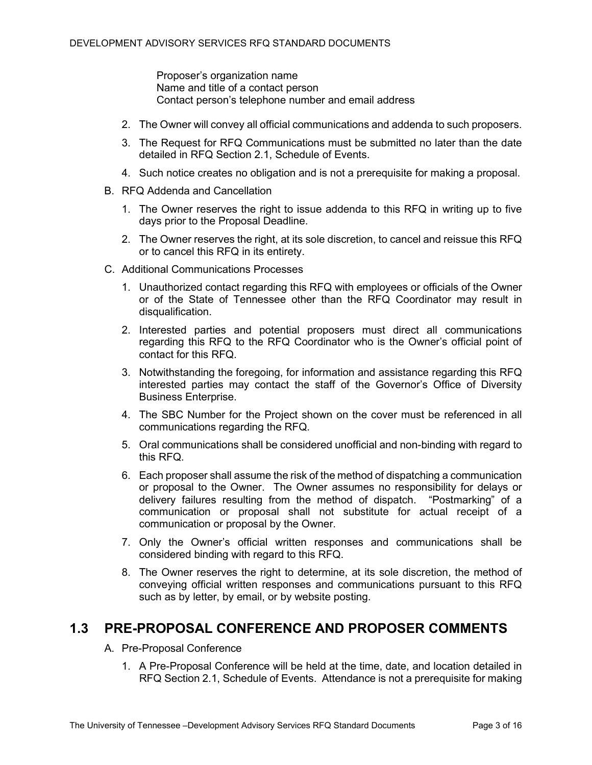Proposer's organization name Name and title of a contact person Contact person's telephone number and email address

- 2. The Owner will convey all official communications and addenda to such proposers.
- 3. The Request for RFQ Communications must be submitted no later than the date detailed in RFQ Section 2.1, Schedule of Events.
- 4. Such notice creates no obligation and is not a prerequisite for making a proposal.
- B. RFQ Addenda and Cancellation
	- 1. The Owner reserves the right to issue addenda to this RFQ in writing up to five days prior to the Proposal Deadline.
	- 2. The Owner reserves the right, at its sole discretion, to cancel and reissue this RFQ or to cancel this RFQ in its entirety.
- C. Additional Communications Processes
	- 1. Unauthorized contact regarding this RFQ with employees or officials of the Owner or of the State of Tennessee other than the RFQ Coordinator may result in disqualification.
	- 2. Interested parties and potential proposers must direct all communications regarding this RFQ to the RFQ Coordinator who is the Owner's official point of contact for this RFQ.
	- 3. Notwithstanding the foregoing, for information and assistance regarding this RFQ interested parties may contact the staff of the Governor's Office of Diversity Business Enterprise.
	- 4. The SBC Number for the Project shown on the cover must be referenced in all communications regarding the RFQ.
	- 5. Oral communications shall be considered unofficial and non-binding with regard to this RFQ.
	- 6. Each proposer shall assume the risk of the method of dispatching a communication or proposal to the Owner. The Owner assumes no responsibility for delays or delivery failures resulting from the method of dispatch. "Postmarking" of a communication or proposal shall not substitute for actual receipt of a communication or proposal by the Owner.
	- 7. Only the Owner's official written responses and communications shall be considered binding with regard to this RFQ.
	- 8. The Owner reserves the right to determine, at its sole discretion, the method of conveying official written responses and communications pursuant to this RFQ such as by letter, by email, or by website posting.

## **1.3 PRE-PROPOSAL CONFERENCE AND PROPOSER COMMENTS**

- A. Pre-Proposal Conference
	- 1. A Pre-Proposal Conference will be held at the time, date, and location detailed in RFQ Section 2.1, Schedule of Events. Attendance is not a prerequisite for making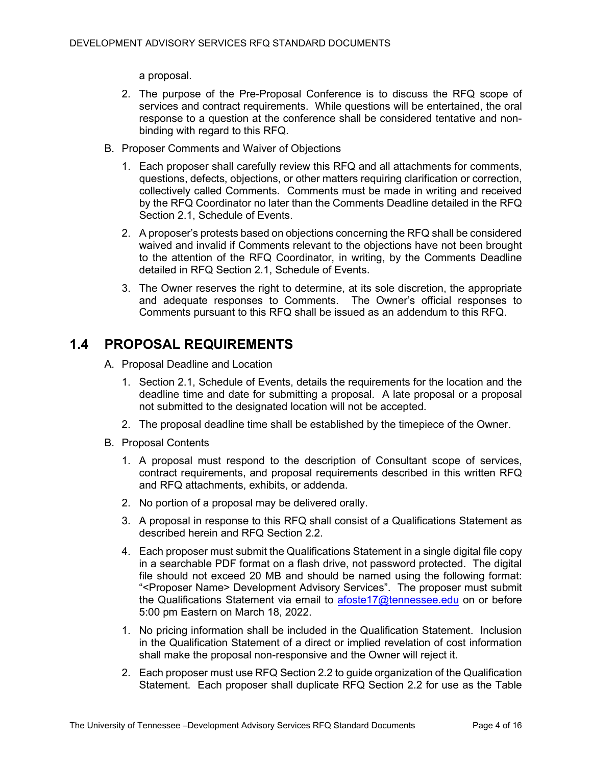a proposal.

- 2. The purpose of the Pre-Proposal Conference is to discuss the RFQ scope of services and contract requirements. While questions will be entertained, the oral response to a question at the conference shall be considered tentative and nonbinding with regard to this RFQ.
- B. Proposer Comments and Waiver of Objections
	- 1. Each proposer shall carefully review this RFQ and all attachments for comments, questions, defects, objections, or other matters requiring clarification or correction, collectively called Comments. Comments must be made in writing and received by the RFQ Coordinator no later than the Comments Deadline detailed in the RFQ Section 2.1, Schedule of Events.
	- 2. A proposer's protests based on objections concerning the RFQ shall be considered waived and invalid if Comments relevant to the objections have not been brought to the attention of the RFQ Coordinator, in writing, by the Comments Deadline detailed in RFQ Section 2.1, Schedule of Events.
	- 3. The Owner reserves the right to determine, at its sole discretion, the appropriate and adequate responses to Comments. The Owner's official responses to Comments pursuant to this RFQ shall be issued as an addendum to this RFQ.

# **1.4 PROPOSAL REQUIREMENTS**

- A. Proposal Deadline and Location
	- 1. Section 2.1, Schedule of Events, details the requirements for the location and the deadline time and date for submitting a proposal. A late proposal or a proposal not submitted to the designated location will not be accepted.
	- 2. The proposal deadline time shall be established by the timepiece of the Owner.
- B. Proposal Contents
	- 1. A proposal must respond to the description of Consultant scope of services, contract requirements, and proposal requirements described in this written RFQ and RFQ attachments, exhibits, or addenda.
	- 2. No portion of a proposal may be delivered orally.
	- 3. A proposal in response to this RFQ shall consist of a Qualifications Statement as described herein and RFQ Section 2.2.
	- 4. Each proposer must submit the Qualifications Statement in a single digital file copy in a searchable PDF format on a flash drive, not password protected. The digital file should not exceed 20 MB and should be named using the following format: "<Proposer Name> Development Advisory Services". The proposer must submit the Qualifications Statement via email to [afoste17@tennessee.edu](mailto:afoste17@tennessee.edu) on or before 5:00 pm Eastern on March 18, 2022.
	- 1. No pricing information shall be included in the Qualification Statement. Inclusion in the Qualification Statement of a direct or implied revelation of cost information shall make the proposal non-responsive and the Owner will reject it.
	- 2. Each proposer must use RFQ Section 2.2 to guide organization of the Qualification Statement. Each proposer shall duplicate RFQ Section 2.2 for use as the Table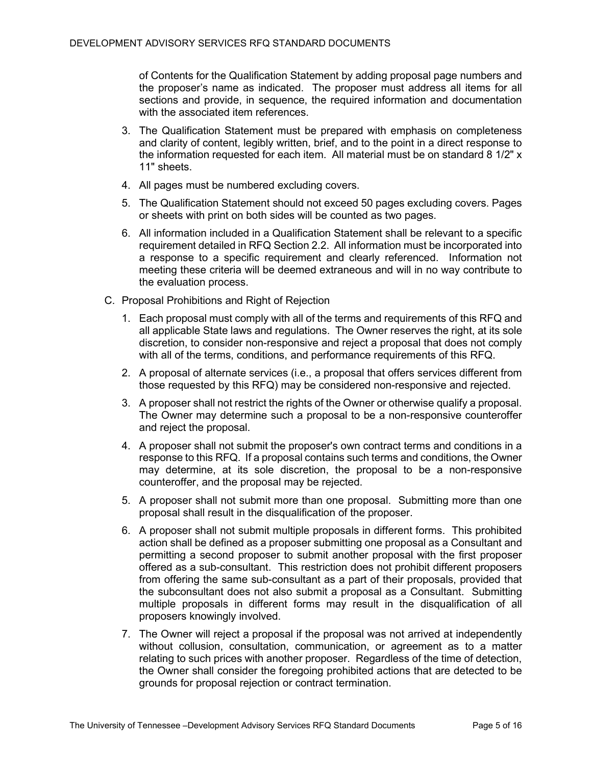of Contents for the Qualification Statement by adding proposal page numbers and the proposer's name as indicated. The proposer must address all items for all sections and provide, in sequence, the required information and documentation with the associated item references.

- 3. The Qualification Statement must be prepared with emphasis on completeness and clarity of content, legibly written, brief, and to the point in a direct response to the information requested for each item. All material must be on standard 8 1/2" x 11" sheets.
- 4. All pages must be numbered excluding covers.
- 5. The Qualification Statement should not exceed 50 pages excluding covers. Pages or sheets with print on both sides will be counted as two pages.
- 6. All information included in a Qualification Statement shall be relevant to a specific requirement detailed in RFQ Section 2.2. All information must be incorporated into a response to a specific requirement and clearly referenced. Information not meeting these criteria will be deemed extraneous and will in no way contribute to the evaluation process.
- C. Proposal Prohibitions and Right of Rejection
	- 1. Each proposal must comply with all of the terms and requirements of this RFQ and all applicable State laws and regulations. The Owner reserves the right, at its sole discretion, to consider non-responsive and reject a proposal that does not comply with all of the terms, conditions, and performance requirements of this RFQ.
	- 2. A proposal of alternate services (i.e., a proposal that offers services different from those requested by this RFQ) may be considered non-responsive and rejected.
	- 3. A proposer shall not restrict the rights of the Owner or otherwise qualify a proposal. The Owner may determine such a proposal to be a non-responsive counteroffer and reject the proposal.
	- 4. A proposer shall not submit the proposer's own contract terms and conditions in a response to this RFQ. If a proposal contains such terms and conditions, the Owner may determine, at its sole discretion, the proposal to be a non-responsive counteroffer, and the proposal may be rejected.
	- 5. A proposer shall not submit more than one proposal. Submitting more than one proposal shall result in the disqualification of the proposer.
	- 6. A proposer shall not submit multiple proposals in different forms. This prohibited action shall be defined as a proposer submitting one proposal as a Consultant and permitting a second proposer to submit another proposal with the first proposer offered as a sub-consultant. This restriction does not prohibit different proposers from offering the same sub-consultant as a part of their proposals, provided that the subconsultant does not also submit a proposal as a Consultant. Submitting multiple proposals in different forms may result in the disqualification of all proposers knowingly involved.
	- 7. The Owner will reject a proposal if the proposal was not arrived at independently without collusion, consultation, communication, or agreement as to a matter relating to such prices with another proposer. Regardless of the time of detection, the Owner shall consider the foregoing prohibited actions that are detected to be grounds for proposal rejection or contract termination.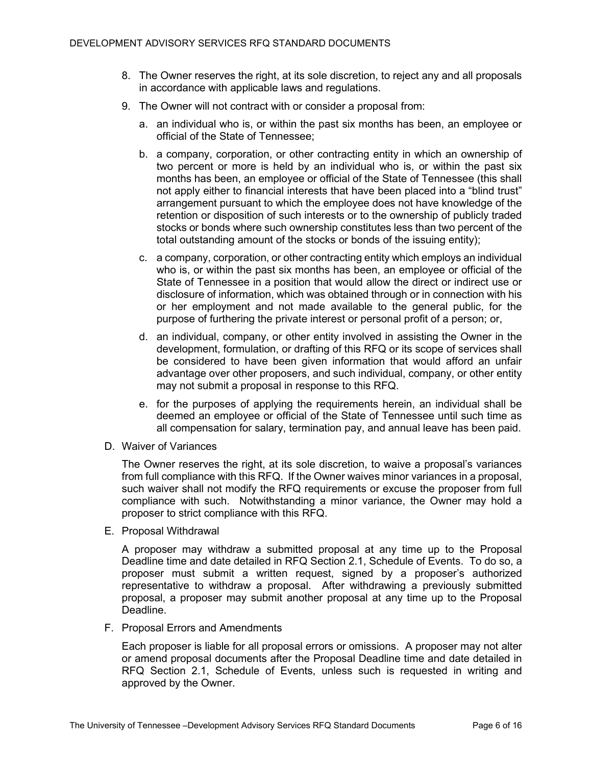- 8. The Owner reserves the right, at its sole discretion, to reject any and all proposals in accordance with applicable laws and regulations.
- 9. The Owner will not contract with or consider a proposal from:
	- a. an individual who is, or within the past six months has been, an employee or official of the State of Tennessee;
	- b. a company, corporation, or other contracting entity in which an ownership of two percent or more is held by an individual who is, or within the past six months has been, an employee or official of the State of Tennessee (this shall not apply either to financial interests that have been placed into a "blind trust" arrangement pursuant to which the employee does not have knowledge of the retention or disposition of such interests or to the ownership of publicly traded stocks or bonds where such ownership constitutes less than two percent of the total outstanding amount of the stocks or bonds of the issuing entity);
	- c. a company, corporation, or other contracting entity which employs an individual who is, or within the past six months has been, an employee or official of the State of Tennessee in a position that would allow the direct or indirect use or disclosure of information, which was obtained through or in connection with his or her employment and not made available to the general public, for the purpose of furthering the private interest or personal profit of a person; or,
	- d. an individual, company, or other entity involved in assisting the Owner in the development, formulation, or drafting of this RFQ or its scope of services shall be considered to have been given information that would afford an unfair advantage over other proposers, and such individual, company, or other entity may not submit a proposal in response to this RFQ.
	- e. for the purposes of applying the requirements herein, an individual shall be deemed an employee or official of the State of Tennessee until such time as all compensation for salary, termination pay, and annual leave has been paid.
- D. Waiver of Variances

The Owner reserves the right, at its sole discretion, to waive a proposal's variances from full compliance with this RFQ. If the Owner waives minor variances in a proposal, such waiver shall not modify the RFQ requirements or excuse the proposer from full compliance with such. Notwithstanding a minor variance, the Owner may hold a proposer to strict compliance with this RFQ.

E. Proposal Withdrawal

A proposer may withdraw a submitted proposal at any time up to the Proposal Deadline time and date detailed in RFQ Section 2.1, Schedule of Events. To do so, a proposer must submit a written request, signed by a proposer's authorized representative to withdraw a proposal. After withdrawing a previously submitted proposal, a proposer may submit another proposal at any time up to the Proposal Deadline.

F. Proposal Errors and Amendments

Each proposer is liable for all proposal errors or omissions. A proposer may not alter or amend proposal documents after the Proposal Deadline time and date detailed in RFQ Section 2.1, Schedule of Events, unless such is requested in writing and approved by the Owner.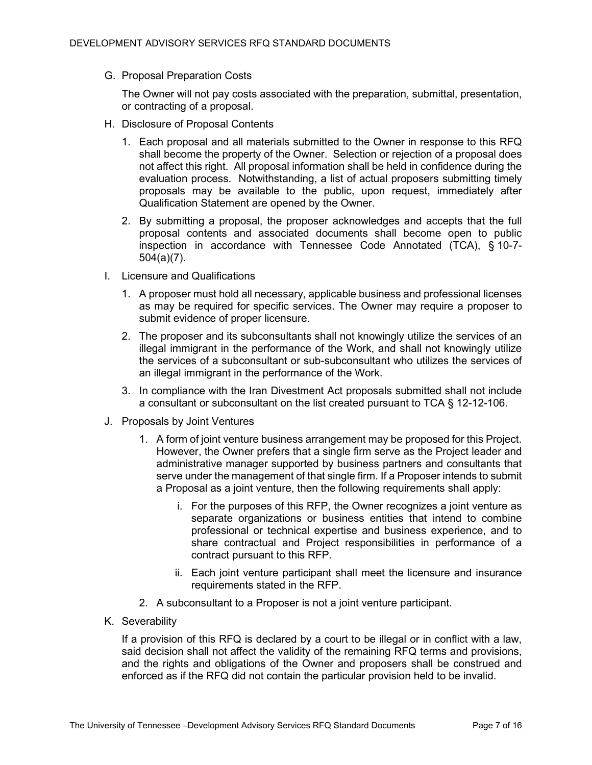G. Proposal Preparation Costs

The Owner will not pay costs associated with the preparation, submittal, presentation, or contracting of a proposal.

- H. Disclosure of Proposal Contents
	- 1. Each proposal and all materials submitted to the Owner in response to this RFQ shall become the property of the Owner. Selection or rejection of a proposal does not affect this right. All proposal information shall be held in confidence during the evaluation process. Notwithstanding, a list of actual proposers submitting timely proposals may be available to the public, upon request, immediately after Qualification Statement are opened by the Owner.
	- 2. By submitting a proposal, the proposer acknowledges and accepts that the full proposal contents and associated documents shall become open to public inspection in accordance with Tennessee Code Annotated (TCA), § 10-7- 504(a)(7).
- I. Licensure and Qualifications
	- 1. A proposer must hold all necessary, applicable business and professional licenses as may be required for specific services. The Owner may require a proposer to submit evidence of proper licensure.
	- 2. The proposer and its subconsultants shall not knowingly utilize the services of an illegal immigrant in the performance of the Work, and shall not knowingly utilize the services of a subconsultant or sub-subconsultant who utilizes the services of an illegal immigrant in the performance of the Work.
	- 3. In compliance with the Iran Divestment Act proposals submitted shall not include a consultant or subconsultant on the list created pursuant to TCA § 12-12-106.
- J. Proposals by Joint Ventures
	- 1. A form of joint venture business arrangement may be proposed for this Project. However, the Owner prefers that a single firm serve as the Project leader and administrative manager supported by business partners and consultants that serve under the management of that single firm. If a Proposer intends to submit a Proposal as a joint venture, then the following requirements shall apply:
		- i. For the purposes of this RFP, the Owner recognizes a joint venture as separate organizations or business entities that intend to combine professional or technical expertise and business experience, and to share contractual and Project responsibilities in performance of a contract pursuant to this RFP.
		- ii. Each joint venture participant shall meet the licensure and insurance requirements stated in the RFP.
	- 2. A subconsultant to a Proposer is not a joint venture participant.
- K. Severability

If a provision of this RFQ is declared by a court to be illegal or in conflict with a law, said decision shall not affect the validity of the remaining RFQ terms and provisions, and the rights and obligations of the Owner and proposers shall be construed and enforced as if the RFQ did not contain the particular provision held to be invalid.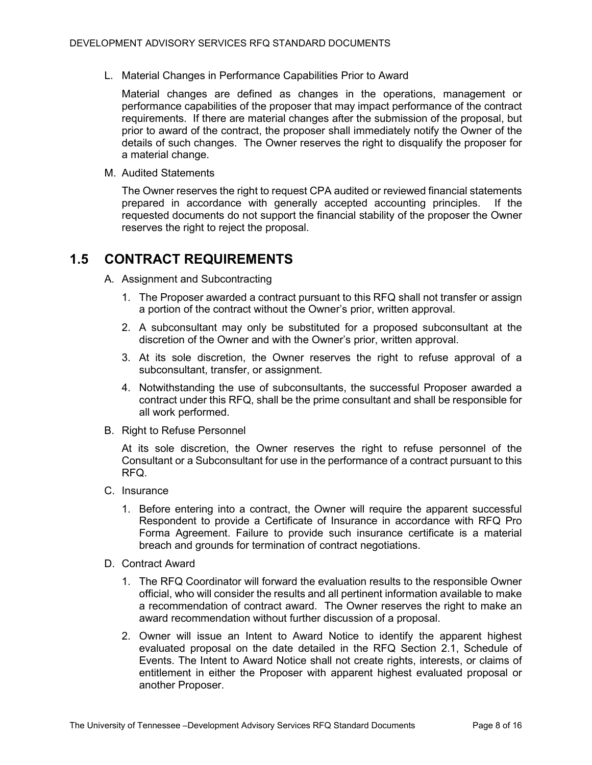L. Material Changes in Performance Capabilities Prior to Award

Material changes are defined as changes in the operations, management or performance capabilities of the proposer that may impact performance of the contract requirements. If there are material changes after the submission of the proposal, but prior to award of the contract, the proposer shall immediately notify the Owner of the details of such changes. The Owner reserves the right to disqualify the proposer for a material change.

M. Audited Statements

The Owner reserves the right to request CPA audited or reviewed financial statements prepared in accordance with generally accepted accounting principles. If the requested documents do not support the financial stability of the proposer the Owner reserves the right to reject the proposal.

## **1.5 CONTRACT REQUIREMENTS**

- A. Assignment and Subcontracting
	- 1. The Proposer awarded a contract pursuant to this RFQ shall not transfer or assign a portion of the contract without the Owner's prior, written approval.
	- 2. A subconsultant may only be substituted for a proposed subconsultant at the discretion of the Owner and with the Owner's prior, written approval.
	- 3. At its sole discretion, the Owner reserves the right to refuse approval of a subconsultant, transfer, or assignment.
	- 4. Notwithstanding the use of subconsultants, the successful Proposer awarded a contract under this RFQ, shall be the prime consultant and shall be responsible for all work performed.
- B. Right to Refuse Personnel

At its sole discretion, the Owner reserves the right to refuse personnel of the Consultant or a Subconsultant for use in the performance of a contract pursuant to this RFQ.

- C. Insurance
	- 1. Before entering into a contract, the Owner will require the apparent successful Respondent to provide a Certificate of Insurance in accordance with RFQ Pro Forma Agreement. Failure to provide such insurance certificate is a material breach and grounds for termination of contract negotiations.
- D. Contract Award
	- 1. The RFQ Coordinator will forward the evaluation results to the responsible Owner official, who will consider the results and all pertinent information available to make a recommendation of contract award. The Owner reserves the right to make an award recommendation without further discussion of a proposal.
	- 2. Owner will issue an Intent to Award Notice to identify the apparent highest evaluated proposal on the date detailed in the RFQ Section 2.1, Schedule of Events. The Intent to Award Notice shall not create rights, interests, or claims of entitlement in either the Proposer with apparent highest evaluated proposal or another Proposer.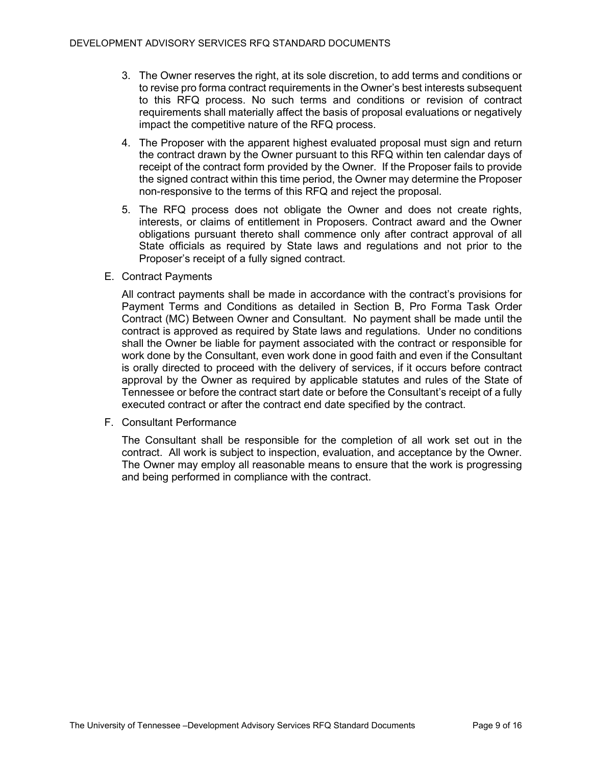- 3. The Owner reserves the right, at its sole discretion, to add terms and conditions or to revise pro forma contract requirements in the Owner's best interests subsequent to this RFQ process. No such terms and conditions or revision of contract requirements shall materially affect the basis of proposal evaluations or negatively impact the competitive nature of the RFQ process.
- 4. The Proposer with the apparent highest evaluated proposal must sign and return the contract drawn by the Owner pursuant to this RFQ within ten calendar days of receipt of the contract form provided by the Owner. If the Proposer fails to provide the signed contract within this time period, the Owner may determine the Proposer non-responsive to the terms of this RFQ and reject the proposal.
- 5. The RFQ process does not obligate the Owner and does not create rights, interests, or claims of entitlement in Proposers. Contract award and the Owner obligations pursuant thereto shall commence only after contract approval of all State officials as required by State laws and regulations and not prior to the Proposer's receipt of a fully signed contract.
- E. Contract Payments

All contract payments shall be made in accordance with the contract's provisions for Payment Terms and Conditions as detailed in Section B, Pro Forma Task Order Contract (MC) Between Owner and Consultant. No payment shall be made until the contract is approved as required by State laws and regulations. Under no conditions shall the Owner be liable for payment associated with the contract or responsible for work done by the Consultant, even work done in good faith and even if the Consultant is orally directed to proceed with the delivery of services, if it occurs before contract approval by the Owner as required by applicable statutes and rules of the State of Tennessee or before the contract start date or before the Consultant's receipt of a fully executed contract or after the contract end date specified by the contract.

F. Consultant Performance

The Consultant shall be responsible for the completion of all work set out in the contract. All work is subject to inspection, evaluation, and acceptance by the Owner. The Owner may employ all reasonable means to ensure that the work is progressing and being performed in compliance with the contract.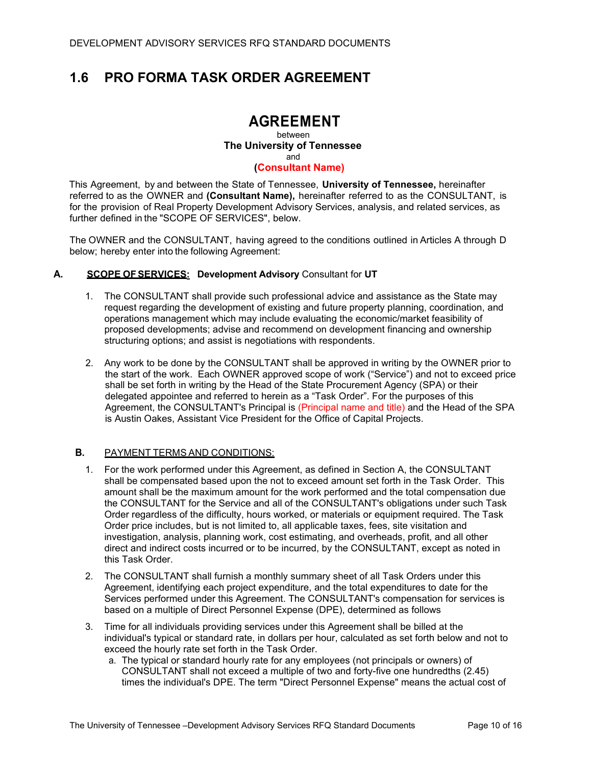# **1.6 PRO FORMA TASK ORDER AGREEMENT**

# **AGREEMENT**

between **The University of Tennessee** and **(Consultant Name)**

This Agreement, by and between the State of Tennessee, **University of Tennessee,** hereinafter referred to as the OWNER and **(Consultant Name),** hereinafter referred to as the CONSULTANT, is for the provision of Real Property Development Advisory Services, analysis, and related services, as further defined in the "SCOPE OF SERVICES", below.

The OWNER and the CONSULTANT, having agreed to the conditions outlined in Articles A through D below; hereby enter into the following Agreement:

### **A. SCOPE OFSERVICES: Development Advisory** Consultant for **UT**

- 1. The CONSULTANT shall provide such professional advice and assistance as the State may request regarding the development of existing and future property planning, coordination, and operations management which may include evaluating the economic/market feasibility of proposed developments; advise and recommend on development financing and ownership structuring options; and assist is negotiations with respondents.
- 2. Any work to be done by the CONSULTANT shall be approved in writing by the OWNER prior to the start of the work. Each OWNER approved scope of work ("Service") and not to exceed price shall be set forth in writing by the Head of the State Procurement Agency (SPA) or their delegated appointee and referred to herein as a "Task Order". For the purposes of this Agreement, the CONSULTANT's Principal is (Principal name and title) and the Head of the SPA is Austin Oakes, Assistant Vice President for the Office of Capital Projects.

#### **B.** PAYMENT TERMS AND CONDITIONS:

- 1. For the work performed under this Agreement, as defined in Section A, the CONSULTANT shall be compensated based upon the not to exceed amount set forth in the Task Order. This amount shall be the maximum amount for the work performed and the total compensation due the CONSULTANT for the Service and all of the CONSULTANT's obligations under such Task Order regardless of the difficulty, hours worked, or materials or equipment required. The Task Order price includes, but is not limited to, all applicable taxes, fees, site visitation and investigation, analysis, planning work, cost estimating, and overheads, profit, and all other direct and indirect costs incurred or to be incurred, by the CONSULTANT, except as noted in this Task Order.
- 2. The CONSULTANT shall furnish a monthly summary sheet of all Task Orders under this Agreement, identifying each project expenditure, and the total expenditures to date for the Services performed under this Agreement. The CONSULTANT's compensation for services is based on a multiple of Direct Personnel Expense (DPE), determined as follows
- 3. Time for all individuals providing services under this Agreement shall be billed at the individual's typical or standard rate, in dollars per hour, calculated as set forth below and not to exceed the hourly rate set forth in the Task Order.
	- a. The typical or standard hourly rate for any employees (not principals or owners) of CONSULTANT shall not exceed a multiple of two and forty-five one hundredths (2.45) times the individual's DPE. The term "Direct Personnel Expense" means the actual cost of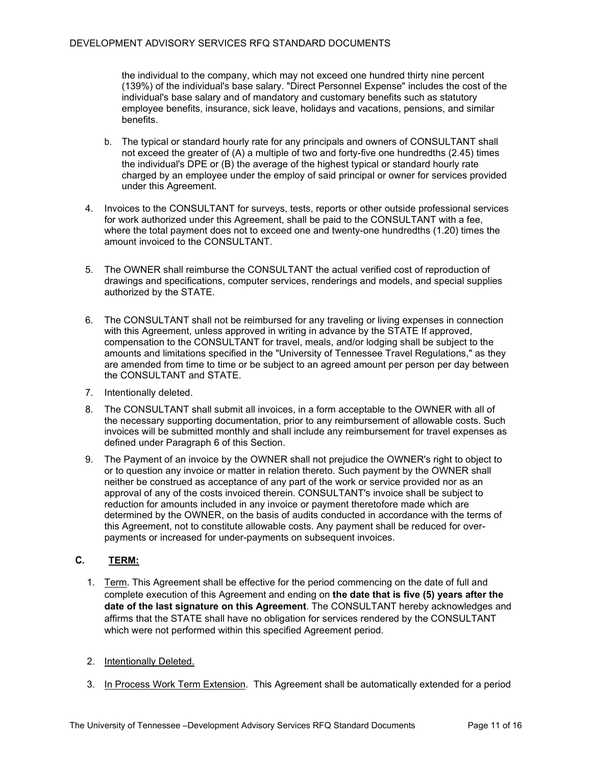the individual to the company, which may not exceed one hundred thirty nine percent (139%) of the individual's base salary. "Direct Personnel Expense" includes the cost of the individual's base salary and of mandatory and customary benefits such as statutory employee benefits, insurance, sick leave, holidays and vacations, pensions, and similar benefits.

- b. The typical or standard hourly rate for any principals and owners of CONSULTANT shall not exceed the greater of (A) a multiple of two and forty-five one hundredths (2.45) times the individual's DPE or (B) the average of the highest typical or standard hourly rate charged by an employee under the employ of said principal or owner for services provided under this Agreement.
- 4. Invoices to the CONSULTANT for surveys, tests, reports or other outside professional services for work authorized under this Agreement, shall be paid to the CONSULTANT with a fee, where the total payment does not to exceed one and twenty-one hundredths (1.20) times the amount invoiced to the CONSULTANT.
- 5. The OWNER shall reimburse the CONSULTANT the actual verified cost of reproduction of drawings and specifications, computer services, renderings and models, and special supplies authorized by the STATE.
- 6. The CONSULTANT shall not be reimbursed for any traveling or living expenses in connection with this Agreement, unless approved in writing in advance by the STATE If approved, compensation to the CONSULTANT for travel, meals, and/or lodging shall be subject to the amounts and limitations specified in the "University of Tennessee Travel Regulations," as they are amended from time to time or be subject to an agreed amount per person per day between the CONSULTANT and STATE.
- 7. Intentionally deleted.
- 8. The CONSULTANT shall submit all invoices, in a form acceptable to the OWNER with all of the necessary supporting documentation, prior to any reimbursement of allowable costs. Such invoices will be submitted monthly and shall include any reimbursement for travel expenses as defined under Paragraph 6 of this Section.
- 9. The Payment of an invoice by the OWNER shall not prejudice the OWNER's right to object to or to question any invoice or matter in relation thereto. Such payment by the OWNER shall neither be construed as acceptance of any part of the work or service provided nor as an approval of any of the costs invoiced therein. CONSULTANT's invoice shall be subject to reduction for amounts included in any invoice or payment theretofore made which are determined by the OWNER, on the basis of audits conducted in accordance with the terms of this Agreement, not to constitute allowable costs. Any payment shall be reduced for overpayments or increased for under-payments on subsequent invoices.

### **C. TERM:**

- 1. Term. This Agreement shall be effective for the period commencing on the date of full and complete execution of this Agreement and ending on **the date that is five (5) years after the date of the last signature on this Agreement**. The CONSULTANT hereby acknowledges and affirms that the STATE shall have no obligation for services rendered by the CONSULTANT which were not performed within this specified Agreement period.
- 2. Intentionally Deleted.
- 3. In Process Work Term Extension. This Agreement shall be automatically extended for a period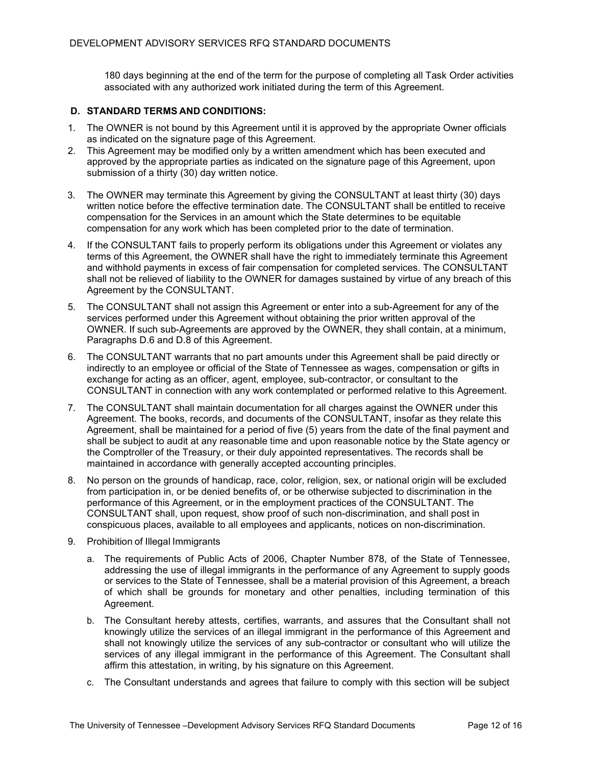180 days beginning at the end of the term for the purpose of completing all Task Order activities associated with any authorized work initiated during the term of this Agreement.

### **D. STANDARD TERMS AND CONDITIONS:**

- 1. The OWNER is not bound by this Agreement until it is approved by the appropriate Owner officials as indicated on the signature page of this Agreement.
- 2. This Agreement may be modified only by a written amendment which has been executed and approved by the appropriate parties as indicated on the signature page of this Agreement, upon submission of a thirty (30) day written notice.
- 3. The OWNER may terminate this Agreement by giving the CONSULTANT at least thirty (30) days written notice before the effective termination date. The CONSULTANT shall be entitled to receive compensation for the Services in an amount which the State determines to be equitable compensation for any work which has been completed prior to the date of termination.
- 4. If the CONSULTANT fails to properly perform its obligations under this Agreement or violates any terms of this Agreement, the OWNER shall have the right to immediately terminate this Agreement and withhold payments in excess of fair compensation for completed services. The CONSULTANT shall not be relieved of liability to the OWNER for damages sustained by virtue of any breach of this Agreement by the CONSULTANT.
- 5. The CONSULTANT shall not assign this Agreement or enter into a sub-Agreement for any of the services performed under this Agreement without obtaining the prior written approval of the OWNER. If such sub-Agreements are approved by the OWNER, they shall contain, at a minimum, Paragraphs D.6 and D.8 of this Agreement.
- 6. The CONSULTANT warrants that no part amounts under this Agreement shall be paid directly or indirectly to an employee or official of the State of Tennessee as wages, compensation or gifts in exchange for acting as an officer, agent, employee, sub-contractor, or consultant to the CONSULTANT in connection with any work contemplated or performed relative to this Agreement.
- 7. The CONSULTANT shall maintain documentation for all charges against the OWNER under this Agreement. The books, records, and documents of the CONSULTANT, insofar as they relate this Agreement, shall be maintained for a period of five (5) years from the date of the final payment and shall be subject to audit at any reasonable time and upon reasonable notice by the State agency or the Comptroller of the Treasury, or their duly appointed representatives. The records shall be maintained in accordance with generally accepted accounting principles.
- 8. No person on the grounds of handicap, race, color, religion, sex, or national origin will be excluded from participation in, or be denied benefits of, or be otherwise subjected to discrimination in the performance of this Agreement, or in the employment practices of the CONSULTANT. The CONSULTANT shall, upon request, show proof of such non-discrimination, and shall post in conspicuous places, available to all employees and applicants, notices on non-discrimination.
- 9. Prohibition of Illegal Immigrants
	- a. The requirements of Public Acts of 2006, Chapter Number 878, of the State of Tennessee, addressing the use of illegal immigrants in the performance of any Agreement to supply goods or services to the State of Tennessee, shall be a material provision of this Agreement, a breach of which shall be grounds for monetary and other penalties, including termination of this Agreement.
	- b. The Consultant hereby attests, certifies, warrants, and assures that the Consultant shall not knowingly utilize the services of an illegal immigrant in the performance of this Agreement and shall not knowingly utilize the services of any sub-contractor or consultant who will utilize the services of any illegal immigrant in the performance of this Agreement. The Consultant shall affirm this attestation, in writing, by his signature on this Agreement.
	- c. The Consultant understands and agrees that failure to comply with this section will be subject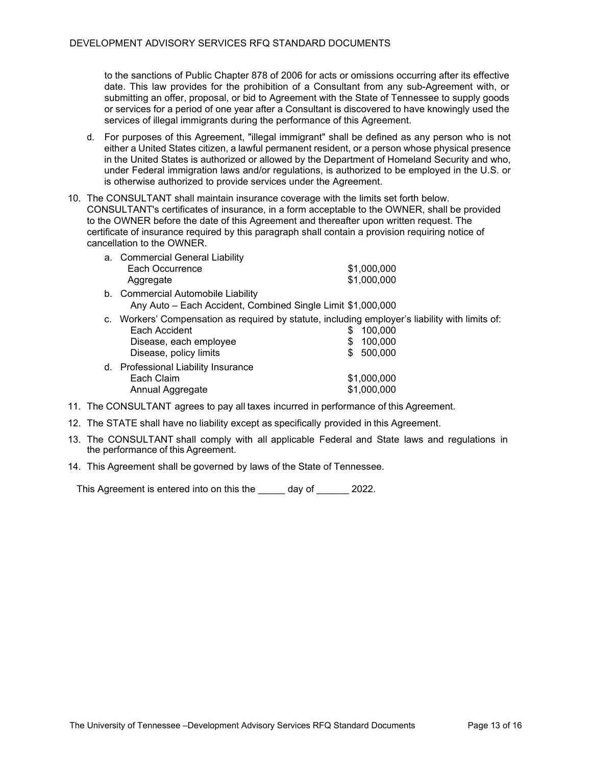to the sanctions of Public Chapter 878 of 2006 for acts or omissions occurring after its effective date. This law provides for the prohibition of a Consultant from any sub-Agreement with, or submitting an offer, proposal, or bid to Agreement with the State of Tennessee to supply goods or services for a period of one year after a Consultant is discovered to have knowingly used the services of illegal immigrants during the performance of this Agreement.

- d. For purposes of this Agreement, "illegal immigrant" shall be defined as any person who is not either a United States citizen, a lawful permanent resident, or a person whose physical presence in the United States is authorized or allowed by the Department of Homeland Security and who, under Federal immigration laws and/or regulations, is authorized to be employed in the U.S. or is otherwise authorized to provide services under the Agreement.
- 10. The CONSULTANT shall maintain insurance coverage with the limits set forth below. CONSULTANT's certificates of insurance, in a form acceptable to the OWNER, shall be provided to the OWNER before the date of this Agreement and thereafter upon written request. The certificate of insurance required by this paragraph shall contain a provision requiring notice of cancellation to the OWNER.

| a. Commercial General Liability                                       |             |
|-----------------------------------------------------------------------|-------------|
| Each Occurrence                                                       | \$1,000,000 |
| Aggregate                                                             | \$1,000,000 |
| b. Commercial Automobile Liability                                    |             |
| Any Auto - Each Accident, Combined Single Limit \$1,000,000           |             |
| c. Workers' Compensation as required by statute, including employer's |             |
| Each Accident                                                         | 100,000     |
| Disease, each employee                                                | 100,000     |
| Disease, policy limits                                                | 500,000     |
| d. Professional Liability Insurance                                   |             |
| Each Claim                                                            | \$1,000,000 |
| Annual Aggregate                                                      | \$1,000,000 |
|                                                                       |             |

- 11. The CONSULTANT agrees to pay all taxes incurred in performance of this Agreement.
- 12. The STATE shall have no liability except as specifically provided in this Agreement.
- 13. The CONSULTANT shall comply with all applicable Federal and State laws and regulations in the performance of this Agreement.
- 14. This Agreement shall be governed by laws of the State of Tennessee.

This Agreement is entered into on this the day of 2022.

liability with limits of: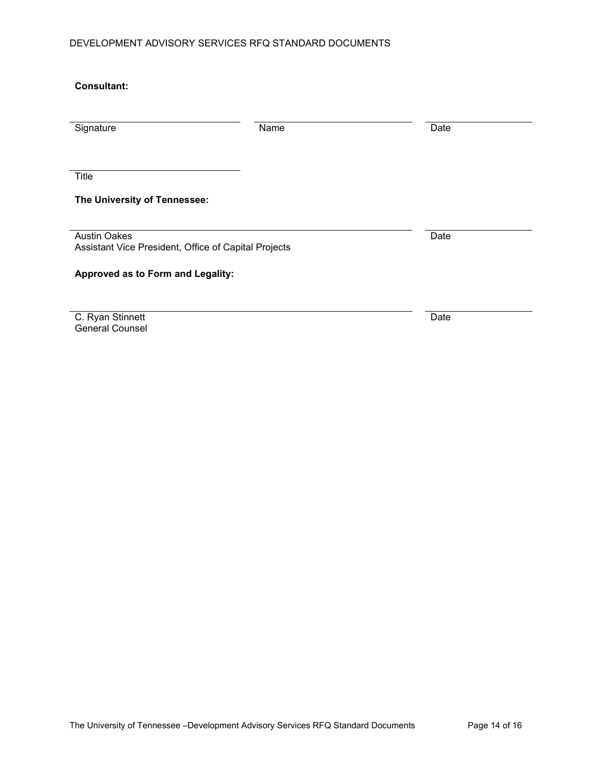## DEVELOPMENT ADVISORY SERVICES RFQ STANDARD DOCUMENTS

| <b>Consultant:</b>                                                          |      |      |
|-----------------------------------------------------------------------------|------|------|
|                                                                             |      |      |
| Signature                                                                   | Name | Date |
|                                                                             |      |      |
| <b>Title</b>                                                                |      |      |
| The University of Tennessee:                                                |      |      |
|                                                                             |      |      |
| <b>Austin Oakes</b><br>Assistant Vice President, Office of Capital Projects |      | Date |
| Approved as to Form and Legality:                                           |      |      |
|                                                                             |      |      |

C. Ryan Stinnett General Counsel

Date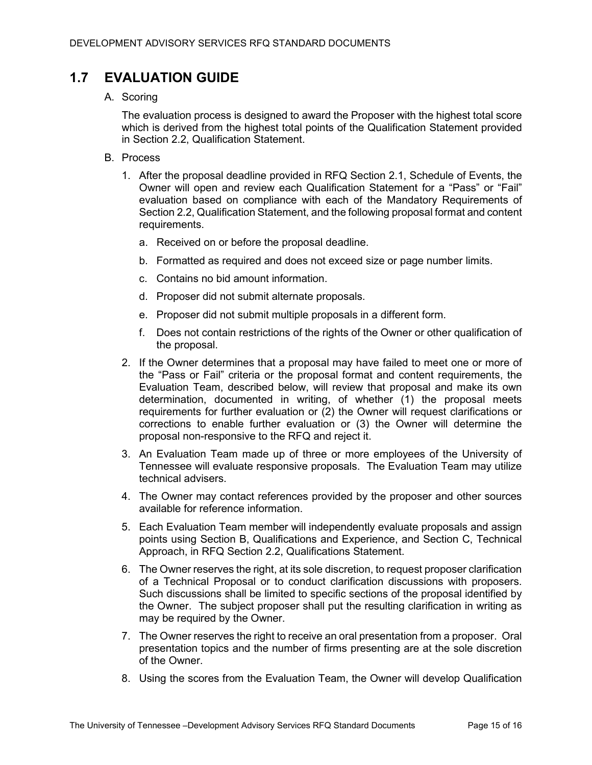# **1.7 EVALUATION GUIDE**

A. Scoring

The evaluation process is designed to award the Proposer with the highest total score which is derived from the highest total points of the Qualification Statement provided in Section 2.2, Qualification Statement.

- B. Process
	- 1. After the proposal deadline provided in RFQ Section 2.1, Schedule of Events, the Owner will open and review each Qualification Statement for a "Pass" or "Fail" evaluation based on compliance with each of the Mandatory Requirements of Section 2.2, Qualification Statement, and the following proposal format and content requirements.
		- a. Received on or before the proposal deadline.
		- b. Formatted as required and does not exceed size or page number limits.
		- c. Contains no bid amount information.
		- d. Proposer did not submit alternate proposals.
		- e. Proposer did not submit multiple proposals in a different form.
		- f. Does not contain restrictions of the rights of the Owner or other qualification of the proposal.
	- 2. If the Owner determines that a proposal may have failed to meet one or more of the "Pass or Fail" criteria or the proposal format and content requirements, the Evaluation Team, described below, will review that proposal and make its own determination, documented in writing, of whether (1) the proposal meets requirements for further evaluation or (2) the Owner will request clarifications or corrections to enable further evaluation or (3) the Owner will determine the proposal non-responsive to the RFQ and reject it.
	- 3. An Evaluation Team made up of three or more employees of the University of Tennessee will evaluate responsive proposals. The Evaluation Team may utilize technical advisers.
	- 4. The Owner may contact references provided by the proposer and other sources available for reference information.
	- 5. Each Evaluation Team member will independently evaluate proposals and assign points using Section B, Qualifications and Experience, and Section C, Technical Approach, in RFQ Section 2.2, Qualifications Statement.
	- 6. The Owner reserves the right, at its sole discretion, to request proposer clarification of a Technical Proposal or to conduct clarification discussions with proposers. Such discussions shall be limited to specific sections of the proposal identified by the Owner. The subject proposer shall put the resulting clarification in writing as may be required by the Owner.
	- 7. The Owner reserves the right to receive an oral presentation from a proposer. Oral presentation topics and the number of firms presenting are at the sole discretion of the Owner.
	- 8. Using the scores from the Evaluation Team, the Owner will develop Qualification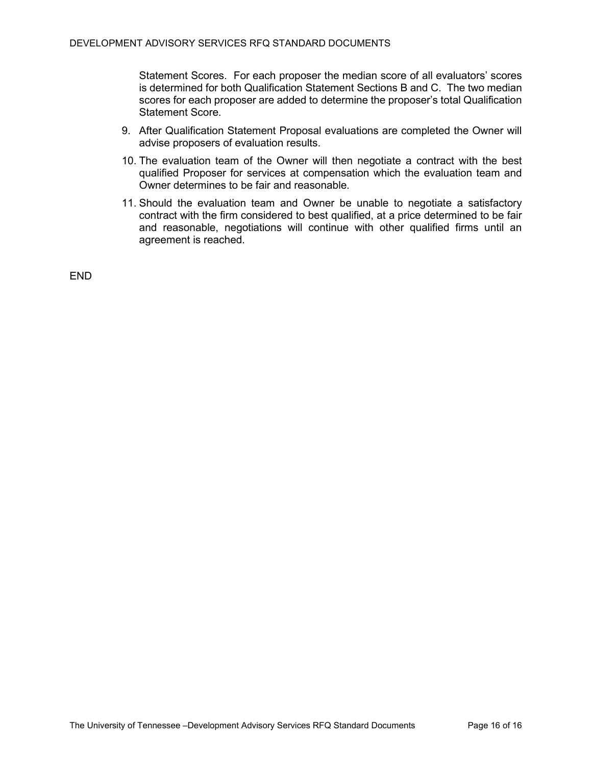Statement Scores. For each proposer the median score of all evaluators' scores is determined for both Qualification Statement Sections B and C. The two median scores for each proposer are added to determine the proposer's total Qualification Statement Score.

- 9. After Qualification Statement Proposal evaluations are completed the Owner will advise proposers of evaluation results.
- 10. The evaluation team of the Owner will then negotiate a contract with the best qualified Proposer for services at compensation which the evaluation team and Owner determines to be fair and reasonable.
- 11. Should the evaluation team and Owner be unable to negotiate a satisfactory contract with the firm considered to best qualified, at a price determined to be fair and reasonable, negotiations will continue with other qualified firms until an agreement is reached.

END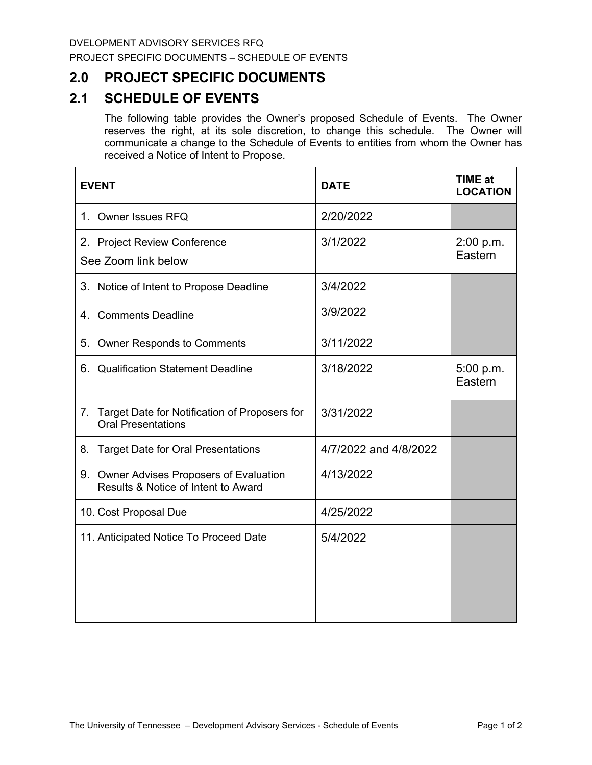# **2.0 PROJECT SPECIFIC DOCUMENTS**

# **2.1 SCHEDULE OF EVENTS**

The following table provides the Owner's proposed Schedule of Events. The Owner reserves the right, at its sole discretion, to change this schedule. The Owner will communicate a change to the Schedule of Events to entities from whom the Owner has received a Notice of Intent to Propose.

| <b>EVENT</b>                                                                     | <b>DATE</b>           | <b>TIME at</b><br><b>LOCATION</b> |
|----------------------------------------------------------------------------------|-----------------------|-----------------------------------|
| 1. Owner Issues RFQ                                                              | 2/20/2022             |                                   |
| 2. Project Review Conference<br>See Zoom link below                              | 3/1/2022              | 2:00 p.m.<br>Eastern              |
| 3. Notice of Intent to Propose Deadline                                          | 3/4/2022              |                                   |
| 4. Comments Deadline                                                             | 3/9/2022              |                                   |
| <b>Owner Responds to Comments</b><br>5.                                          | 3/11/2022             |                                   |
| 6. Qualification Statement Deadline                                              | 3/18/2022             | 5:00 p.m.<br>Eastern              |
| Target Date for Notification of Proposers for<br>7.<br><b>Oral Presentations</b> | 3/31/2022             |                                   |
| <b>Target Date for Oral Presentations</b><br>8.                                  | 4/7/2022 and 4/8/2022 |                                   |
| 9. Owner Advises Proposers of Evaluation<br>Results & Notice of Intent to Award  | 4/13/2022             |                                   |
| 10. Cost Proposal Due                                                            | 4/25/2022             |                                   |
| 11. Anticipated Notice To Proceed Date                                           | 5/4/2022              |                                   |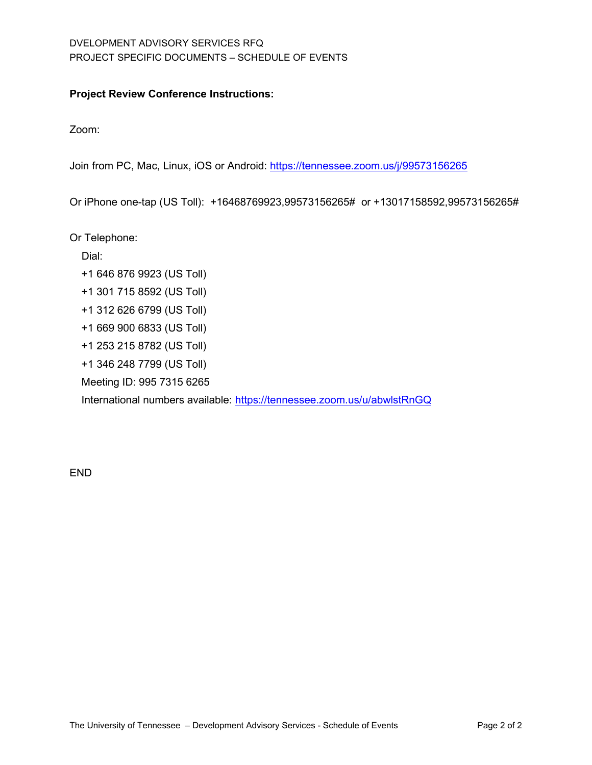## DVELOPMENT ADVISORY SERVICES RFQ PROJECT SPECIFIC DOCUMENTS – SCHEDULE OF EVENTS

## **Project Review Conference Instructions:**

Zoom:

Join from PC, Mac, Linux, iOS or Android:<https://tennessee.zoom.us/j/99573156265>

Or iPhone one-tap (US Toll): +16468769923,99573156265# or +13017158592,99573156265#

Or Telephone:

Dial:

- +1 646 876 9923 (US Toll)
- +1 301 715 8592 (US Toll)
- +1 312 626 6799 (US Toll)
- +1 669 900 6833 (US Toll)
- +1 253 215 8782 (US Toll)
- +1 346 248 7799 (US Toll)

Meeting ID: 995 7315 6265

International numbers available:<https://tennessee.zoom.us/u/abwlstRnGQ>

END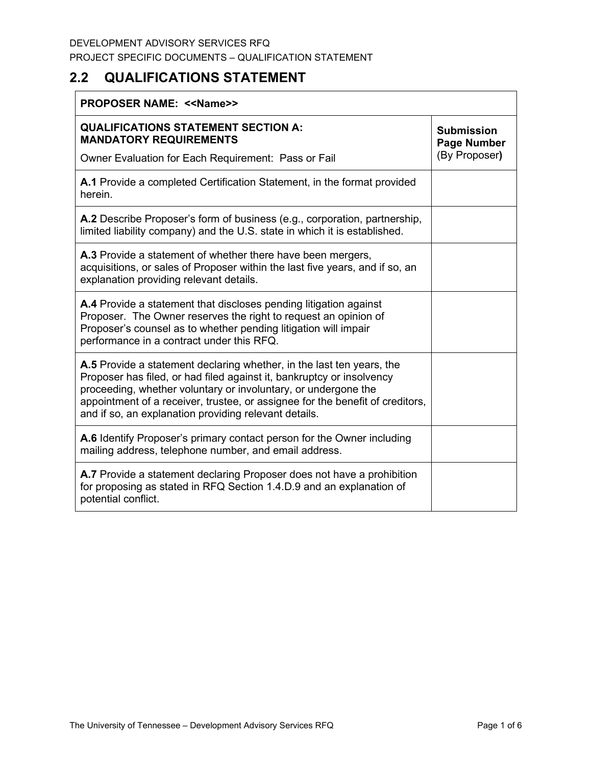# **2.2 QUALIFICATIONS STATEMENT**

| <b>PROPOSER NAME: &lt;&lt; Name&gt;&gt;</b>                                                                                                                                                                                                                                                                                                                |                                                          |  |
|------------------------------------------------------------------------------------------------------------------------------------------------------------------------------------------------------------------------------------------------------------------------------------------------------------------------------------------------------------|----------------------------------------------------------|--|
| <b>QUALIFICATIONS STATEMENT SECTION A:</b><br><b>MANDATORY REQUIREMENTS</b><br>Owner Evaluation for Each Requirement: Pass or Fail                                                                                                                                                                                                                         | <b>Submission</b><br><b>Page Number</b><br>(By Proposer) |  |
| A.1 Provide a completed Certification Statement, in the format provided<br>herein.                                                                                                                                                                                                                                                                         |                                                          |  |
| A.2 Describe Proposer's form of business (e.g., corporation, partnership,<br>limited liability company) and the U.S. state in which it is established.                                                                                                                                                                                                     |                                                          |  |
| A.3 Provide a statement of whether there have been mergers,<br>acquisitions, or sales of Proposer within the last five years, and if so, an<br>explanation providing relevant details.                                                                                                                                                                     |                                                          |  |
| A.4 Provide a statement that discloses pending litigation against<br>Proposer. The Owner reserves the right to request an opinion of<br>Proposer's counsel as to whether pending litigation will impair<br>performance in a contract under this RFQ.                                                                                                       |                                                          |  |
| A.5 Provide a statement declaring whether, in the last ten years, the<br>Proposer has filed, or had filed against it, bankruptcy or insolvency<br>proceeding, whether voluntary or involuntary, or undergone the<br>appointment of a receiver, trustee, or assignee for the benefit of creditors,<br>and if so, an explanation providing relevant details. |                                                          |  |
| A.6 Identify Proposer's primary contact person for the Owner including<br>mailing address, telephone number, and email address.                                                                                                                                                                                                                            |                                                          |  |
| A.7 Provide a statement declaring Proposer does not have a prohibition<br>for proposing as stated in RFQ Section 1.4.D.9 and an explanation of<br>potential conflict.                                                                                                                                                                                      |                                                          |  |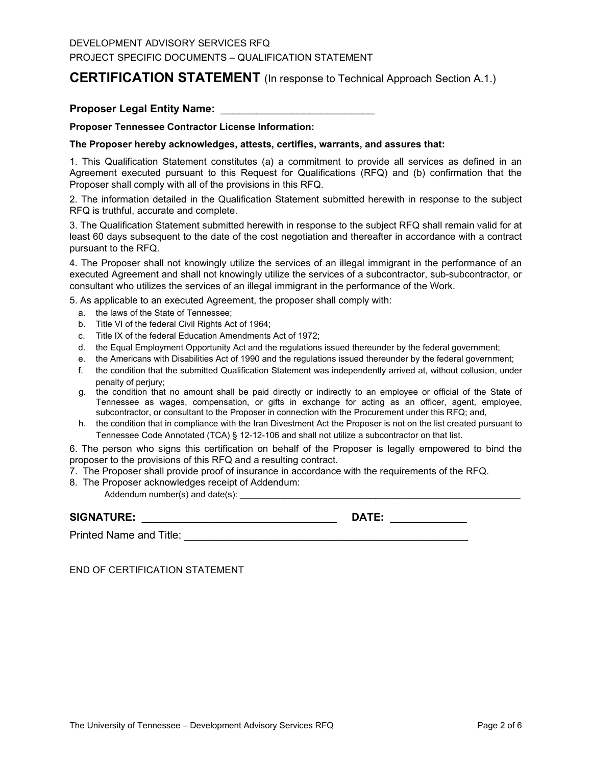## **CERTIFICATION STATEMENT** (In response to Technical Approach Section A.1.)

### **Proposer Legal Entity Name:** \_\_\_\_\_\_\_\_\_\_\_\_\_\_\_\_\_\_\_\_\_\_\_\_\_\_

#### **Proposer Tennessee Contractor License Information:**

#### **The Proposer hereby acknowledges, attests, certifies, warrants, and assures that:**

1. This Qualification Statement constitutes (a) a commitment to provide all services as defined in an Agreement executed pursuant to this Request for Qualifications (RFQ) and (b) confirmation that the Proposer shall comply with all of the provisions in this RFQ.

2. The information detailed in the Qualification Statement submitted herewith in response to the subject RFQ is truthful, accurate and complete.

3. The Qualification Statement submitted herewith in response to the subject RFQ shall remain valid for at least 60 days subsequent to the date of the cost negotiation and thereafter in accordance with a contract pursuant to the RFQ.

4. The Proposer shall not knowingly utilize the services of an illegal immigrant in the performance of an executed Agreement and shall not knowingly utilize the services of a subcontractor, sub-subcontractor, or consultant who utilizes the services of an illegal immigrant in the performance of the Work.

5. As applicable to an executed Agreement, the proposer shall comply with:

- a. the laws of the State of Tennessee;
- b. Title VI of the federal Civil Rights Act of 1964;
- c. Title IX of the federal Education Amendments Act of 1972;
- d. the Equal Employment Opportunity Act and the regulations issued thereunder by the federal government;
- e. the Americans with Disabilities Act of 1990 and the regulations issued thereunder by the federal government;
- f. the condition that the submitted Qualification Statement was independently arrived at, without collusion, under penalty of perjury;
- g. the condition that no amount shall be paid directly or indirectly to an employee or official of the State of Tennessee as wages, compensation, or gifts in exchange for acting as an officer, agent, employee, subcontractor, or consultant to the Proposer in connection with the Procurement under this RFQ; and,
- h. the condition that in compliance with the Iran Divestment Act the Proposer is not on the list created pursuant to Tennessee Code Annotated (TCA) § 12-12-106 and shall not utilize a subcontractor on that list.

6. The person who signs this certification on behalf of the Proposer is legally empowered to bind the proposer to the provisions of this RFQ and a resulting contract.

7. The Proposer shall provide proof of insurance in accordance with the requirements of the RFQ.

8. The Proposer acknowledges receipt of Addendum:

Addendum number(s) and date(s): \_\_\_\_\_\_\_\_\_\_\_\_\_\_\_\_\_\_\_\_\_\_\_\_\_\_\_\_\_\_\_\_\_\_\_\_\_\_\_\_\_\_\_\_\_\_\_\_\_\_\_\_\_\_\_\_\_\_

# **SIGNATURE:** \_\_\_\_\_\_\_\_\_\_\_\_\_\_\_\_\_\_\_\_\_\_\_\_\_\_\_\_\_\_\_\_\_ **DATE:** \_\_\_\_\_\_\_\_\_\_\_\_\_

Printed Name and Title: **Example 20** and  $\overline{a}$  and  $\overline{b}$  and  $\overline{c}$  and  $\overline{d}$  and  $\overline{c}$  and  $\overline{c}$  and  $\overline{d}$  and  $\overline{c}$  and  $\overline{c}$  and  $\overline{c}$  and  $\overline{c}$  and  $\overline{c}$  and  $\overline{c}$  and  $\overline{c}$  and

END OF CERTIFICATION STATEMENT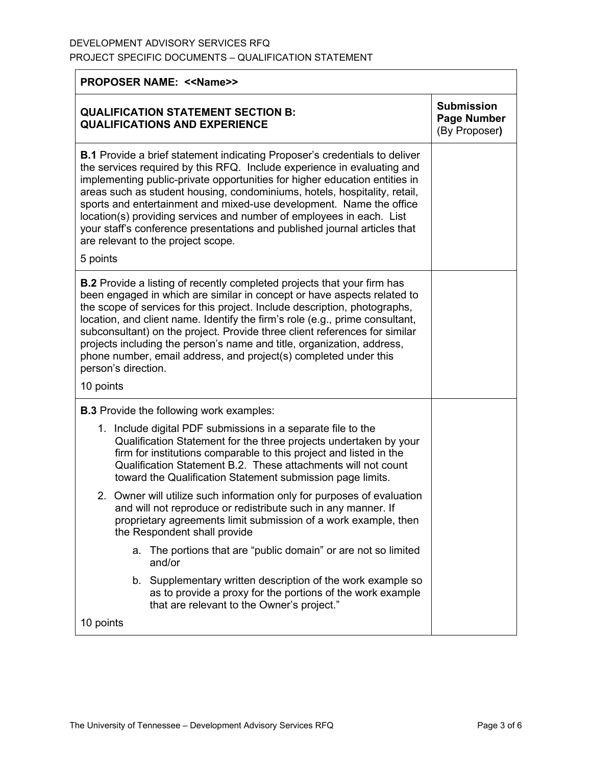| <b>PROPOSER NAME: &lt;&lt; Name&gt;&gt;</b>                                                                                                                                                                                                                                                                                                                                                                                                                                                                                                                                               |                                                          |  |
|-------------------------------------------------------------------------------------------------------------------------------------------------------------------------------------------------------------------------------------------------------------------------------------------------------------------------------------------------------------------------------------------------------------------------------------------------------------------------------------------------------------------------------------------------------------------------------------------|----------------------------------------------------------|--|
| <b>QUALIFICATION STATEMENT SECTION B:</b><br><b>QUALIFICATIONS AND EXPERIENCE</b>                                                                                                                                                                                                                                                                                                                                                                                                                                                                                                         | <b>Submission</b><br><b>Page Number</b><br>(By Proposer) |  |
| <b>B.1</b> Provide a brief statement indicating Proposer's credentials to deliver<br>the services required by this RFQ. Include experience in evaluating and<br>implementing public-private opportunities for higher education entities in<br>areas such as student housing, condominiums, hotels, hospitality, retail,<br>sports and entertainment and mixed-use development. Name the office<br>location(s) providing services and number of employees in each. List<br>your staff's conference presentations and published journal articles that<br>are relevant to the project scope. |                                                          |  |
| 5 points                                                                                                                                                                                                                                                                                                                                                                                                                                                                                                                                                                                  |                                                          |  |
| <b>B.2</b> Provide a listing of recently completed projects that your firm has<br>been engaged in which are similar in concept or have aspects related to<br>the scope of services for this project. Include description, photographs,<br>location, and client name. Identify the firm's role (e.g., prime consultant,<br>subconsultant) on the project. Provide three client references for similar<br>projects including the person's name and title, organization, address,<br>phone number, email address, and project(s) completed under this<br>person's direction.<br>10 points    |                                                          |  |
|                                                                                                                                                                                                                                                                                                                                                                                                                                                                                                                                                                                           |                                                          |  |
| <b>B.3</b> Provide the following work examples:<br>1. Include digital PDF submissions in a separate file to the                                                                                                                                                                                                                                                                                                                                                                                                                                                                           |                                                          |  |
| Qualification Statement for the three projects undertaken by your<br>firm for institutions comparable to this project and listed in the<br>Qualification Statement B.2. These attachments will not count<br>toward the Qualification Statement submission page limits.                                                                                                                                                                                                                                                                                                                    |                                                          |  |
| 2. Owner will utilize such information only for purposes of evaluation<br>and will not reproduce or redistribute such in any manner. If<br>proprietary agreements limit submission of a work example, then<br>the Respondent shall provide                                                                                                                                                                                                                                                                                                                                                |                                                          |  |
| a. The portions that are "public domain" or are not so limited<br>and/or                                                                                                                                                                                                                                                                                                                                                                                                                                                                                                                  |                                                          |  |
| b. Supplementary written description of the work example so<br>as to provide a proxy for the portions of the work example<br>that are relevant to the Owner's project."                                                                                                                                                                                                                                                                                                                                                                                                                   |                                                          |  |
| 10 points                                                                                                                                                                                                                                                                                                                                                                                                                                                                                                                                                                                 |                                                          |  |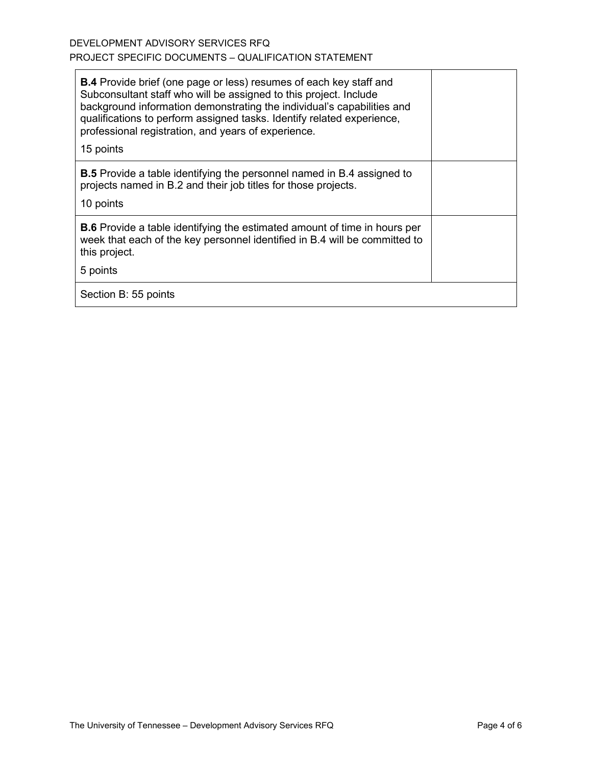| <b>B.4</b> Provide brief (one page or less) resumes of each key staff and<br>Subconsultant staff who will be assigned to this project. Include<br>background information demonstrating the individual's capabilities and<br>qualifications to perform assigned tasks. Identify related experience,<br>professional registration, and years of experience.<br>15 points |  |
|------------------------------------------------------------------------------------------------------------------------------------------------------------------------------------------------------------------------------------------------------------------------------------------------------------------------------------------------------------------------|--|
| <b>B.5</b> Provide a table identifying the personnel named in B.4 assigned to<br>projects named in B.2 and their job titles for those projects.<br>10 points                                                                                                                                                                                                           |  |
| <b>B.6</b> Provide a table identifying the estimated amount of time in hours per<br>week that each of the key personnel identified in B.4 will be committed to<br>this project.<br>5 points                                                                                                                                                                            |  |
| Section B: 55 points                                                                                                                                                                                                                                                                                                                                                   |  |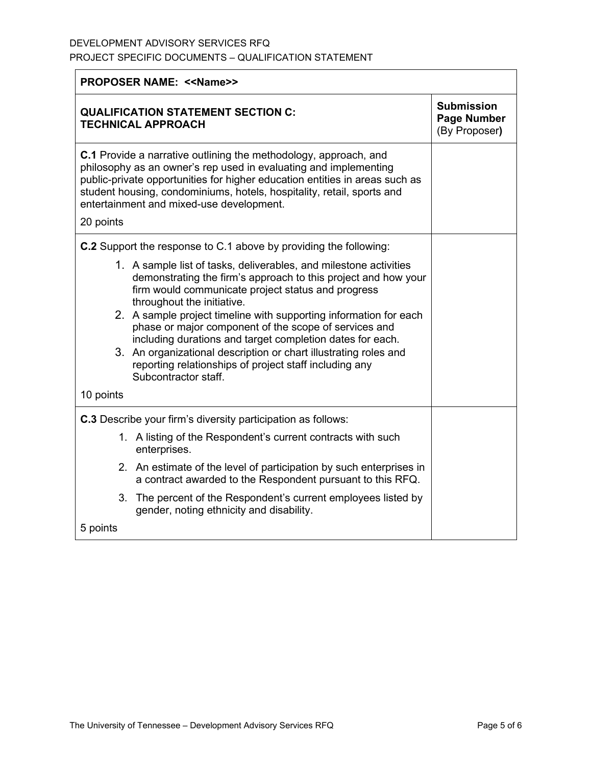| <b>PROPOSER NAME: &lt;&lt; Name&gt;&gt;</b> |                                                                                                                                                                                                                                                                                                                                           |                                                          |  |
|---------------------------------------------|-------------------------------------------------------------------------------------------------------------------------------------------------------------------------------------------------------------------------------------------------------------------------------------------------------------------------------------------|----------------------------------------------------------|--|
|                                             | <b>QUALIFICATION STATEMENT SECTION C:</b><br><b>TECHNICAL APPROACH</b>                                                                                                                                                                                                                                                                    | <b>Submission</b><br><b>Page Number</b><br>(By Proposer) |  |
| 20 points                                   | C.1 Provide a narrative outlining the methodology, approach, and<br>philosophy as an owner's rep used in evaluating and implementing<br>public-private opportunities for higher education entities in areas such as<br>student housing, condominiums, hotels, hospitality, retail, sports and<br>entertainment and mixed-use development. |                                                          |  |
|                                             | <b>C.2</b> Support the response to C.1 above by providing the following:                                                                                                                                                                                                                                                                  |                                                          |  |
|                                             | 1. A sample list of tasks, deliverables, and milestone activities<br>demonstrating the firm's approach to this project and how your<br>firm would communicate project status and progress<br>throughout the initiative.                                                                                                                   |                                                          |  |
|                                             | 2. A sample project timeline with supporting information for each<br>phase or major component of the scope of services and<br>including durations and target completion dates for each.                                                                                                                                                   |                                                          |  |
|                                             | 3. An organizational description or chart illustrating roles and<br>reporting relationships of project staff including any<br>Subcontractor staff.                                                                                                                                                                                        |                                                          |  |
| 10 points                                   |                                                                                                                                                                                                                                                                                                                                           |                                                          |  |
|                                             | <b>C.3</b> Describe your firm's diversity participation as follows:                                                                                                                                                                                                                                                                       |                                                          |  |
|                                             | 1. A listing of the Respondent's current contracts with such<br>enterprises.                                                                                                                                                                                                                                                              |                                                          |  |
|                                             | 2. An estimate of the level of participation by such enterprises in<br>a contract awarded to the Respondent pursuant to this RFQ.                                                                                                                                                                                                         |                                                          |  |
|                                             | 3. The percent of the Respondent's current employees listed by<br>gender, noting ethnicity and disability.                                                                                                                                                                                                                                |                                                          |  |
| 5 points                                    |                                                                                                                                                                                                                                                                                                                                           |                                                          |  |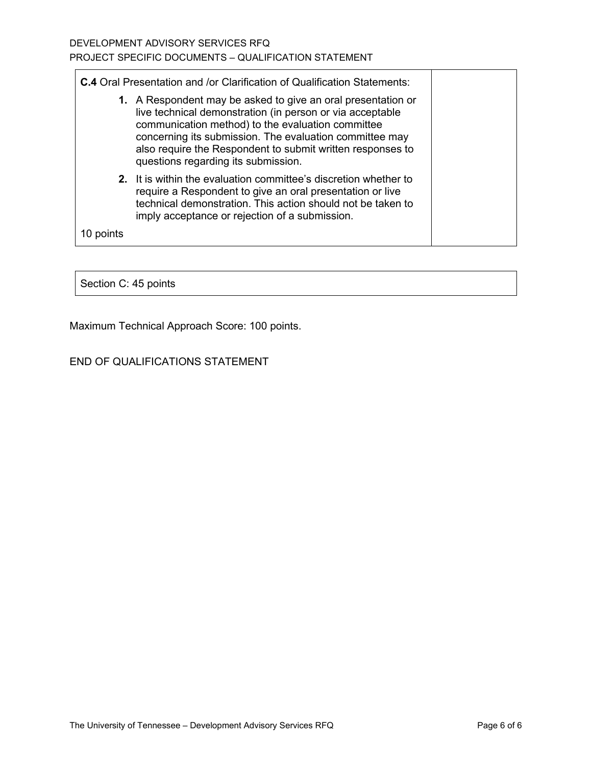**C.4** Oral Presentation and /or Clarification of Qualification Statements:

- **1.** A Respondent may be asked to give an oral presentation or live technical demonstration (in person or via acceptable communication method) to the evaluation committee concerning its submission. The evaluation committee may also require the Respondent to submit written responses to questions regarding its submission.
- **2.** It is within the evaluation committee's discretion whether to require a Respondent to give an oral presentation or live technical demonstration. This action should not be taken to imply acceptance or rejection of a submission.

10 points

Section C: 45 points

Maximum Technical Approach Score: 100 points.

## END OF QUALIFICATIONS STATEMENT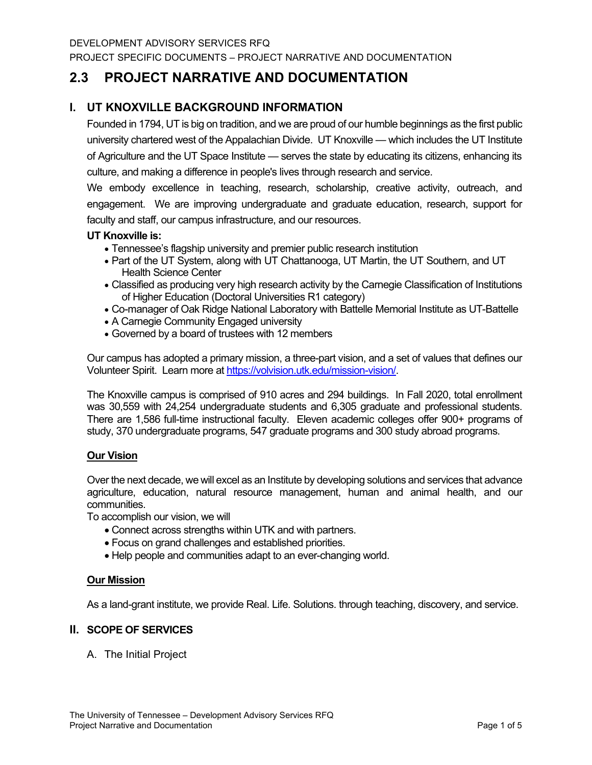PROJECT SPECIFIC DOCUMENTS – PROJECT NARRATIVE AND DOCUMENTATION

# **2.3 PROJECT NARRATIVE AND DOCUMENTATION**

## **I. UT KNOXVILLE BACKGROUND INFORMATION**

Founded in 1794, UT is big on tradition, and we are proud of our humble beginnings as the first public university chartered west of the Appalachian Divide. UT Knoxville — which includes the UT Institute of Agriculture and the UT Space Institute — serves the state by educating its citizens, enhancing its culture, and making a difference in people's lives through research and service.

We embody excellence in teaching, research, scholarship, creative activity, outreach, and engagement. We are improving undergraduate and graduate education, research, support for faculty and staff, our campus infrastructure, and our resources.

### **UT Knoxville is:**

- Tennessee's flagship university and premier public research institution
- Part of the UT System, along with UT Chattanooga, UT Martin, the UT Southern, and UT Health Science Center
- Classified as producing very high research activity by the Carnegie Classification of Institutions of Higher Education (Doctoral Universities R1 category)
- Co-manager of Oak Ridge National Laboratory with Battelle Memorial Institute as UT-Battelle
- A Carnegie Community Engaged university
- Governed by a board of trustees with 12 members

Our campus has adopted a primary mission, a three-part vision, and a set of values that defines our Volunteer Spirit. Learn more a[t https://volvision.utk.edu/mission-vision/.](https://volvision.utk.edu/mission-vision/)

The Knoxville campus is comprised of 910 acres and 294 buildings. In Fall 2020, total enrollment was 30,559 with 24,254 undergraduate students and 6,305 graduate and professional students. There are 1,586 full-time instructional faculty. Eleven academic colleges offer 900+ programs of study, 370 undergraduate programs, 547 graduate programs and 300 study abroad programs.

### **Our Vision**

Over the next decade, we will excel as an Institute by developing solutions and services that advance agriculture, education, natural resource management, human and animal health, and our communities.

To accomplish our vision, we will

- Connect across strengths within UTK and with partners.
- Focus on grand challenges and established priorities.
- Help people and communities adapt to an ever-changing world.

### **Our Mission**

As a land-grant institute, we provide Real. Life. Solutions. through teaching, discovery, and service.

### **II. SCOPE OF SERVICES**

A. The Initial Project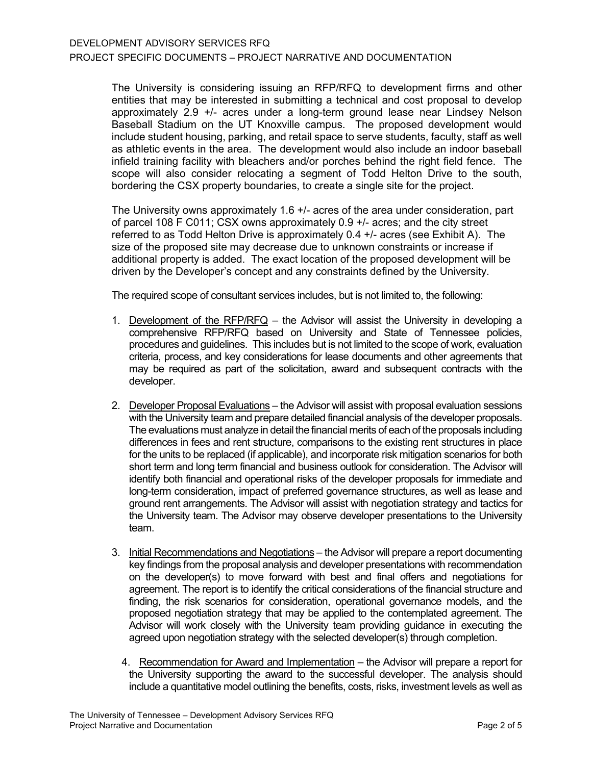The University is considering issuing an RFP/RFQ to development firms and other entities that may be interested in submitting a technical and cost proposal to develop approximately 2.9 +/- acres under a long-term ground lease near Lindsey Nelson Baseball Stadium on the UT Knoxville campus. The proposed development would include student housing, parking, and retail space to serve students, faculty, staff as well as athletic events in the area. The development would also include an indoor baseball infield training facility with bleachers and/or porches behind the right field fence. The scope will also consider relocating a segment of Todd Helton Drive to the south, bordering the CSX property boundaries, to create a single site for the project.

The University owns approximately 1.6 +/- acres of the area under consideration, part of parcel 108 F C011; CSX owns approximately 0.9 +/- acres; and the city street referred to as Todd Helton Drive is approximately 0.4 +/- acres (see Exhibit A). The size of the proposed site may decrease due to unknown constraints or increase if additional property is added. The exact location of the proposed development will be driven by the Developer's concept and any constraints defined by the University.

The required scope of consultant services includes, but is not limited to, the following:

- 1. Development of the RFP/RFQ the Advisor will assist the University in developing a comprehensive RFP/RFQ based on University and State of Tennessee policies, procedures and guidelines. This includes but is not limited to the scope of work, evaluation criteria, process, and key considerations for lease documents and other agreements that may be required as part of the solicitation, award and subsequent contracts with the developer.
- 2. Developer Proposal Evaluations the Advisor will assist with proposal evaluation sessions with the University team and prepare detailed financial analysis of the developer proposals. The evaluations must analyze in detail the financial merits of each of the proposals including differences in fees and rent structure, comparisons to the existing rent structures in place for the units to be replaced (if applicable), and incorporate risk mitigation scenarios for both short term and long term financial and business outlook for consideration. The Advisor will identify both financial and operational risks of the developer proposals for immediate and long-term consideration, impact of preferred governance structures, as well as lease and ground rent arrangements. The Advisor will assist with negotiation strategy and tactics for the University team. The Advisor may observe developer presentations to the University team.
- 3. Initial Recommendations and Negotiations the Advisor will prepare a report documenting key findings from the proposal analysis and developer presentations with recommendation on the developer(s) to move forward with best and final offers and negotiations for agreement. The report is to identify the critical considerations of the financial structure and finding, the risk scenarios for consideration, operational governance models, and the proposed negotiation strategy that may be applied to the contemplated agreement. The Advisor will work closely with the University team providing guidance in executing the agreed upon negotiation strategy with the selected developer(s) through completion.
	- 4. Recommendation for Award and Implementation the Advisor will prepare a report for the University supporting the award to the successful developer. The analysis should include a quantitative model outlining the benefits, costs, risks, investment levels as well as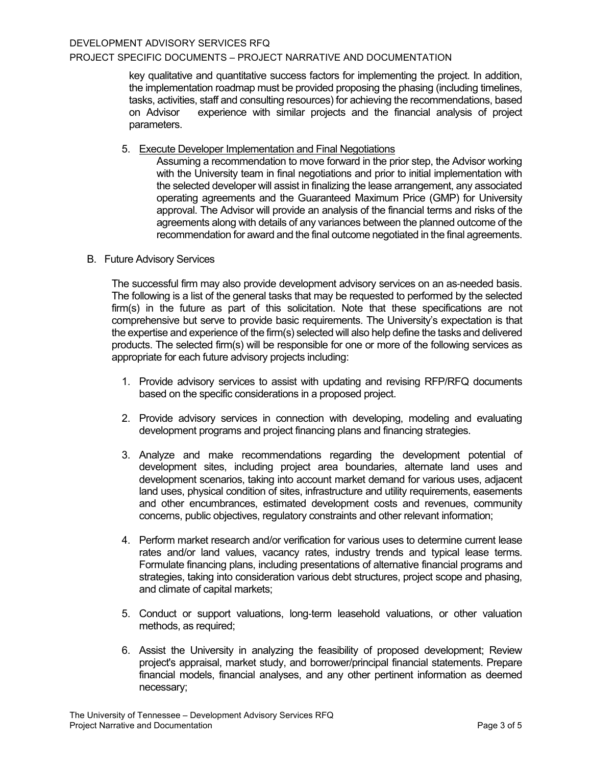### PROJECT SPECIFIC DOCUMENTS – PROJECT NARRATIVE AND DOCUMENTATION

key qualitative and quantitative success factors for implementing the project. In addition, the implementation roadmap must be provided proposing the phasing (including timelines, tasks, activities, staff and consulting resources) for achieving the recommendations, based experience with similar projects and the financial analysis of project parameters.

5. Execute Developer Implementation and Final Negotiations

Assuming a recommendation to move forward in the prior step, the Advisor working with the University team in final negotiations and prior to initial implementation with the selected developer will assist in finalizing the lease arrangement, any associated operating agreements and the Guaranteed Maximum Price (GMP) for University approval. The Advisor will provide an analysis of the financial terms and risks of the agreements along with details of any variances between the planned outcome of the recommendation for award and the final outcome negotiated in the final agreements.

### B. Future Advisory Services

The successful firm may also provide development advisory services on an as‐needed basis. The following is a list of the general tasks that may be requested to performed by the selected firm(s) in the future as part of this solicitation. Note that these specifications are not comprehensive but serve to provide basic requirements. The University's expectation is that the expertise and experience of the firm(s) selected will also help define the tasks and delivered products. The selected firm(s) will be responsible for one or more of the following services as appropriate for each future advisory projects including:

- 1. Provide advisory services to assist with updating and revising RFP/RFQ documents based on the specific considerations in a proposed project.
- 2. Provide advisory services in connection with developing, modeling and evaluating development programs and project financing plans and financing strategies.
- 3. Analyze and make recommendations regarding the development potential of development sites, including project area boundaries, alternate land uses and development scenarios, taking into account market demand for various uses, adjacent land uses, physical condition of sites, infrastructure and utility requirements, easements and other encumbrances, estimated development costs and revenues, community concerns, public objectives, regulatory constraints and other relevant information;
- 4. Perform market research and/or verification for various uses to determine current lease rates and/or land values, vacancy rates, industry trends and typical lease terms. Formulate financing plans, including presentations of alternative financial programs and strategies, taking into consideration various debt structures, project scope and phasing, and climate of capital markets;
- 5. Conduct or support valuations, long‐term leasehold valuations, or other valuation methods, as required;
- 6. Assist the University in analyzing the feasibility of proposed development; Review project's appraisal, market study, and borrower/principal financial statements. Prepare financial models, financial analyses, and any other pertinent information as deemed necessary;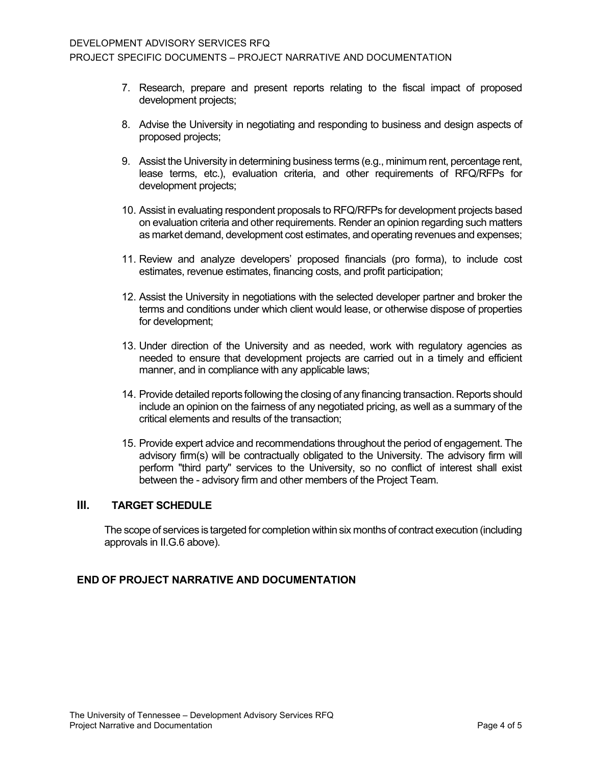- 7. Research, prepare and present reports relating to the fiscal impact of proposed development projects;
- 8. Advise the University in negotiating and responding to business and design aspects of proposed projects;
- 9. Assist the University in determining business terms (e.g., minimum rent, percentage rent, lease terms, etc.), evaluation criteria, and other requirements of RFQ/RFPs for development projects;
- 10. Assist in evaluating respondent proposals to RFQ/RFPs for development projects based on evaluation criteria and other requirements. Render an opinion regarding such matters as market demand, development cost estimates, and operating revenues and expenses;
- 11. Review and analyze developers' proposed financials (pro forma), to include cost estimates, revenue estimates, financing costs, and profit participation;
- 12. Assist the University in negotiations with the selected developer partner and broker the terms and conditions under which client would lease, or otherwise dispose of properties for development;
- 13. Under direction of the University and as needed, work with regulatory agencies as needed to ensure that development projects are carried out in a timely and efficient manner, and in compliance with any applicable laws;
- 14. Provide detailed reports following the closing of any financing transaction. Reports should include an opinion on the fairness of any negotiated pricing, as well as a summary of the critical elements and results of the transaction;
- 15. Provide expert advice and recommendations throughout the period of engagement. The advisory firm(s) will be contractually obligated to the University. The advisory firm will perform "third party" services to the University, so no conflict of interest shall exist between the - advisory firm and other members of the Project Team.

### **III. TARGET SCHEDULE**

The scope of services is targeted for completion within six months of contract execution (including approvals in II.G.6 above).

## **END OF PROJECT NARRATIVE AND DOCUMENTATION**